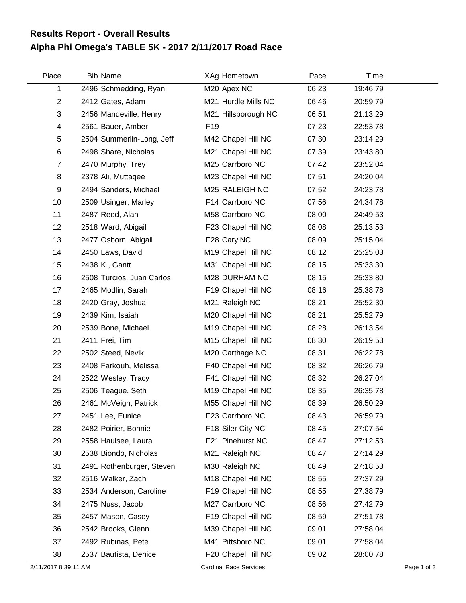## **Alpha Phi Omega's TABLE 5K - 2017 2/11/2017 Road Race Results Report - Overall Results**

| Place          | <b>Bib Name</b>           | XAg Hometown        | Pace  | Time     |  |
|----------------|---------------------------|---------------------|-------|----------|--|
| 1              | 2496 Schmedding, Ryan     | M20 Apex NC         | 06:23 | 19:46.79 |  |
| $\overline{c}$ | 2412 Gates, Adam          | M21 Hurdle Mills NC | 06:46 | 20:59.79 |  |
| 3              | 2456 Mandeville, Henry    | M21 Hillsborough NC | 06:51 | 21:13.29 |  |
| 4              | 2561 Bauer, Amber         | F <sub>19</sub>     | 07:23 | 22:53.78 |  |
| 5              | 2504 Summerlin-Long, Jeff | M42 Chapel Hill NC  | 07:30 | 23:14.29 |  |
| 6              | 2498 Share, Nicholas      | M21 Chapel Hill NC  | 07:39 | 23:43.80 |  |
| $\overline{7}$ | 2470 Murphy, Trey         | M25 Carrboro NC     | 07:42 | 23:52.04 |  |
| 8              | 2378 Ali, Muttaqee        | M23 Chapel Hill NC  | 07:51 | 24:20.04 |  |
| 9              | 2494 Sanders, Michael     | M25 RALEIGH NC      | 07:52 | 24:23.78 |  |
| 10             | 2509 Usinger, Marley      | F14 Carrboro NC     | 07:56 | 24:34.78 |  |
| 11             | 2487 Reed, Alan           | M58 Carrboro NC     | 08:00 | 24:49.53 |  |
| 12             | 2518 Ward, Abigail        | F23 Chapel Hill NC  | 08:08 | 25:13.53 |  |
| 13             | 2477 Osborn, Abigail      | F28 Cary NC         | 08:09 | 25:15.04 |  |
| 14             | 2450 Laws, David          | M19 Chapel Hill NC  | 08:12 | 25:25.03 |  |
| 15             | 2438 K., Gantt            | M31 Chapel Hill NC  | 08:15 | 25:33.30 |  |
| 16             | 2508 Turcios, Juan Carlos | M28 DURHAM NC       | 08:15 | 25:33.80 |  |
| 17             | 2465 Modlin, Sarah        | F19 Chapel Hill NC  | 08:16 | 25:38.78 |  |
| 18             | 2420 Gray, Joshua         | M21 Raleigh NC      | 08:21 | 25:52.30 |  |
| 19             | 2439 Kim, Isaiah          | M20 Chapel Hill NC  | 08:21 | 25:52.79 |  |
| 20             | 2539 Bone, Michael        | M19 Chapel Hill NC  | 08:28 | 26:13.54 |  |
| 21             | 2411 Frei, Tim            | M15 Chapel Hill NC  | 08:30 | 26:19.53 |  |
| 22             | 2502 Steed, Nevik         | M20 Carthage NC     | 08:31 | 26:22.78 |  |
| 23             | 2408 Farkouh, Melissa     | F40 Chapel Hill NC  | 08:32 | 26:26.79 |  |
| 24             | 2522 Wesley, Tracy        | F41 Chapel Hill NC  | 08:32 | 26:27.04 |  |
| 25             | 2506 Teague, Seth         | M19 Chapel Hill NC  | 08:35 | 26:35.78 |  |
| 26             | 2461 McVeigh, Patrick     | M55 Chapel Hill NC  | 08:39 | 26:50.29 |  |
| 27             | 2451 Lee, Eunice          | F23 Carrboro NC     | 08:43 | 26:59.79 |  |
| 28             | 2482 Poirier, Bonnie      | F18 Siler City NC   | 08:45 | 27:07.54 |  |
| 29             | 2558 Haulsee, Laura       | F21 Pinehurst NC    | 08:47 | 27:12.53 |  |
| 30             | 2538 Biondo, Nicholas     | M21 Raleigh NC      | 08:47 | 27:14.29 |  |
| 31             | 2491 Rothenburger, Steven | M30 Raleigh NC      | 08:49 | 27:18.53 |  |
| 32             | 2516 Walker, Zach         | M18 Chapel Hill NC  | 08:55 | 27:37.29 |  |
| 33             | 2534 Anderson, Caroline   | F19 Chapel Hill NC  | 08:55 | 27:38.79 |  |
| 34             | 2475 Nuss, Jacob          | M27 Carrboro NC     | 08:56 | 27:42.79 |  |
| 35             | 2457 Mason, Casey         | F19 Chapel Hill NC  | 08:59 | 27:51.78 |  |
| 36             | 2542 Brooks, Glenn        | M39 Chapel Hill NC  | 09:01 | 27:58.04 |  |
| 37             | 2492 Rubinas, Pete        | M41 Pittsboro NC    | 09:01 | 27:58.04 |  |
| 38             | 2537 Bautista, Denice     | F20 Chapel Hill NC  | 09:02 | 28:00.78 |  |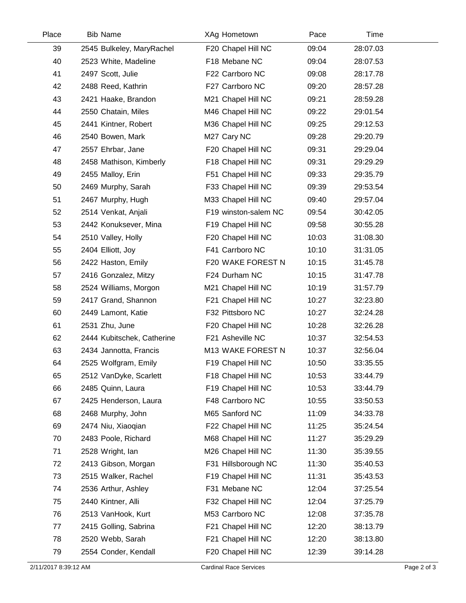| Place | <b>Bib Name</b>            | XAg Hometown         | Pace  | Time     |  |
|-------|----------------------------|----------------------|-------|----------|--|
| 39    | 2545 Bulkeley, MaryRachel  | F20 Chapel Hill NC   | 09:04 | 28:07.03 |  |
| 40    | 2523 White, Madeline       | F18 Mebane NC        | 09:04 | 28:07.53 |  |
| 41    | 2497 Scott, Julie          | F22 Carrboro NC      | 09:08 | 28:17.78 |  |
| 42    | 2488 Reed, Kathrin         | F27 Carrboro NC      | 09:20 | 28:57.28 |  |
| 43    | 2421 Haake, Brandon        | M21 Chapel Hill NC   | 09:21 | 28:59.28 |  |
| 44    | 2550 Chatain, Miles        | M46 Chapel Hill NC   | 09:22 | 29:01.54 |  |
| 45    | 2441 Kintner, Robert       | M36 Chapel Hill NC   | 09:25 | 29:12.53 |  |
| 46    | 2540 Bowen, Mark           | M27 Cary NC          | 09:28 | 29:20.79 |  |
| 47    | 2557 Ehrbar, Jane          | F20 Chapel Hill NC   | 09:31 | 29:29.04 |  |
| 48    | 2458 Mathison, Kimberly    | F18 Chapel Hill NC   | 09:31 | 29:29.29 |  |
| 49    | 2455 Malloy, Erin          | F51 Chapel Hill NC   | 09:33 | 29:35.79 |  |
| 50    | 2469 Murphy, Sarah         | F33 Chapel Hill NC   | 09:39 | 29:53.54 |  |
| 51    | 2467 Murphy, Hugh          | M33 Chapel Hill NC   | 09:40 | 29:57.04 |  |
| 52    | 2514 Venkat, Anjali        | F19 winston-salem NC | 09:54 | 30:42.05 |  |
| 53    | 2442 Konuksever, Mina      | F19 Chapel Hill NC   | 09:58 | 30:55.28 |  |
| 54    | 2510 Valley, Holly         | F20 Chapel Hill NC   | 10:03 | 31:08.30 |  |
| 55    | 2404 Elliott, Joy          | F41 Carrboro NC      | 10:10 | 31:31.05 |  |
| 56    | 2422 Haston, Emily         | F20 WAKE FOREST N    | 10:15 | 31:45.78 |  |
| 57    | 2416 Gonzalez, Mitzy       | F24 Durham NC        | 10:15 | 31:47.78 |  |
| 58    | 2524 Williams, Morgon      | M21 Chapel Hill NC   | 10:19 | 31:57.79 |  |
| 59    | 2417 Grand, Shannon        | F21 Chapel Hill NC   | 10:27 | 32:23.80 |  |
| 60    | 2449 Lamont, Katie         | F32 Pittsboro NC     | 10:27 | 32:24.28 |  |
| 61    | 2531 Zhu, June             | F20 Chapel Hill NC   | 10:28 | 32:26.28 |  |
| 62    | 2444 Kubitschek, Catherine | F21 Asheville NC     | 10:37 | 32:54.53 |  |
| 63    | 2434 Jannotta, Francis     | M13 WAKE FOREST N    | 10:37 | 32:56.04 |  |
| 64    | 2525 Wolfgram, Emily       | F19 Chapel Hill NC   | 10:50 | 33:35.55 |  |
| 65    | 2512 VanDyke, Scarlett     | F18 Chapel Hill NC   | 10:53 | 33:44.79 |  |
| 66    | 2485 Quinn, Laura          | F19 Chapel Hill NC   | 10:53 | 33:44.79 |  |
| 67    | 2425 Henderson, Laura      | F48 Carrboro NC      | 10:55 | 33:50.53 |  |
| 68    | 2468 Murphy, John          | M65 Sanford NC       | 11:09 | 34:33.78 |  |
| 69    | 2474 Niu, Xiaoqian         | F22 Chapel Hill NC   | 11:25 | 35:24.54 |  |
| 70    | 2483 Poole, Richard        | M68 Chapel Hill NC   | 11:27 | 35:29.29 |  |
| 71    | 2528 Wright, lan           | M26 Chapel Hill NC   | 11:30 | 35:39.55 |  |
| 72    | 2413 Gibson, Morgan        | F31 Hillsborough NC  | 11:30 | 35:40.53 |  |
| 73    | 2515 Walker, Rachel        | F19 Chapel Hill NC   | 11:31 | 35:43.53 |  |
| 74    | 2536 Arthur, Ashley        | F31 Mebane NC        | 12:04 | 37:25.54 |  |
| 75    | 2440 Kintner, Alli         | F32 Chapel Hill NC   | 12:04 | 37:25.79 |  |
| 76    | 2513 VanHook, Kurt         | M53 Carrboro NC      | 12:08 | 37:35.78 |  |
| 77    | 2415 Golling, Sabrina      | F21 Chapel Hill NC   | 12:20 | 38:13.79 |  |
| 78    | 2520 Webb, Sarah           | F21 Chapel Hill NC   | 12:20 | 38:13.80 |  |
| 79    | 2554 Conder, Kendall       | F20 Chapel Hill NC   | 12:39 | 39:14.28 |  |